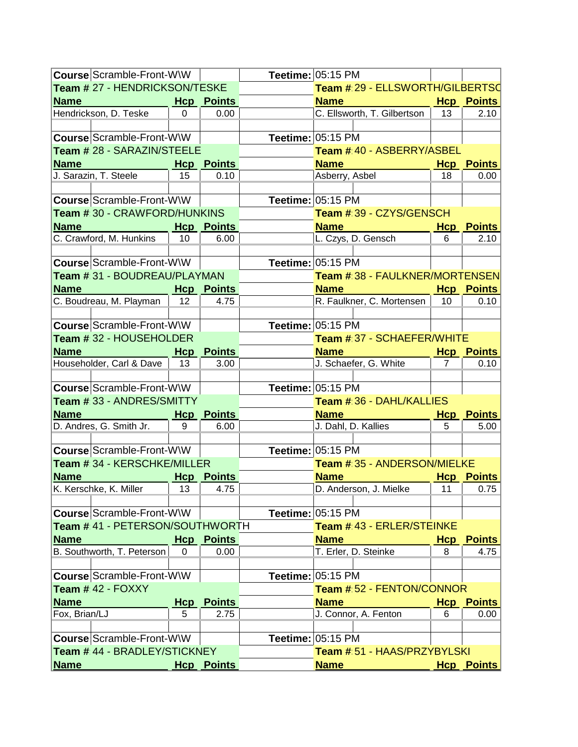| <b>Course Scramble-Front-W\W</b>       |          |                           | Teetime: 05:15 PM                |    |                           |
|----------------------------------------|----------|---------------------------|----------------------------------|----|---------------------------|
| Team # 27 - HENDRICKSON/TESKE          |          |                           | Team # 29 - ELLSWORTH/GILBERTSC  |    |                           |
| Name <b>Name</b>                       |          | <b>Hcp</b> Points         | <b>Name</b>                      |    | <b>Hcp Points</b>         |
| Hendrickson, D. Teske                  | $\Omega$ | 0.00                      | C. Ellsworth, T. Gilbertson      | 13 | 2.10                      |
| <b>Course Scramble-Front-W\W</b>       |          |                           | Teetime: 05:15 PM                |    |                           |
| Team # 28 - SARAZIN/STEELE             |          |                           | Team # 40 - ASBERRY/ASBEL        |    |                           |
| Name                                   |          | <b>Hcp Points</b>         | <b>Name</b>                      |    | <b>Hcp Points</b>         |
| J. Sarazin, T. Steele                  | 15       | 0.10                      | Asberry, Asbel                   | 18 | 0.00                      |
|                                        |          |                           |                                  |    |                           |
| Course Scramble-Front-W\W              |          |                           | Teetime: 05:15 PM                |    |                           |
| Team # 30 - CRAWFORD/HUNKINS           |          |                           | Team # 39 - CZYS/GENSCH          |    |                           |
| <b>Name</b>                            |          | <b>Hcp Points</b>         | <b>Name</b>                      |    | <b>Hcp Points</b>         |
| C. Crawford, M. Hunkins                | 10       | 6.00                      | L. Czys, D. Gensch               | 6  | 2.10                      |
| <b>Course Scramble-Front-W\W</b>       |          |                           | Teetime: 05:15 PM                |    |                           |
| Team # 31 - BOUDREAU/PLAYMAN           |          |                           | Team # 38 - FAULKNER/MORTENSEN   |    |                           |
| Name<br><b>Example 2016 Hcp Points</b> |          |                           | <b>Name</b>                      |    | <b>Hcp</b> Points         |
| C. Boudreau, M. Playman                | 12       | 4.75                      | R. Faulkner, C. Mortensen        | 10 | 0.10                      |
|                                        |          |                           |                                  |    |                           |
| <b>Course Scramble-Front-W\W</b>       |          |                           | Teetime: 05:15 PM                |    |                           |
| Team # 32 - HOUSEHOLDER                |          |                           | Team # 37 - SCHAEFER/WHITE       |    |                           |
| Name                                   |          | <b>Hcp</b> Points         | <b>Name</b>                      |    | <b>Hcp</b> Points         |
| Householder, Carl & Dave               | 13       | 3.00                      | J. Schaefer, G. White            | 7  | 0.10                      |
|                                        |          |                           |                                  |    |                           |
| <b>Course Scramble-Front-W\W</b>       |          |                           | Teetime: 05:15 PM                |    |                           |
| Team # 33 - ANDRES/SMITTY              |          |                           | Team # 36 - DAHL/KALLIES         |    |                           |
| Name                                   |          | <b>Hcp</b> Points         | <b>Name</b>                      |    | <b>Hcp</b> Points         |
| D. Andres, G. Smith Jr.                | 9        | 6.00                      | J. Dahl, D. Kallies              | 5  | 5.00                      |
| <b>Course Scramble-Front-W\W</b>       |          |                           | Teetime: 05:15 PM                |    |                           |
| Team # 34 - KERSCHKE/MILLER            |          |                           | Team # 35 - ANDERSON/MIELKE      |    |                           |
|                                        |          |                           | <b>Name</b>                      |    |                           |
| <b>Name</b><br>K. Kerschke, K. Miller  | 13       | <b>Hcp</b> Points<br>4.75 | D. Anderson, J. Mielke           | 11 | <b>Hcp Points</b><br>0.75 |
|                                        |          |                           |                                  |    |                           |
| <b>Course Scramble-Front-W\W</b>       |          |                           | Teetime: $ 05:15$ PM             |    |                           |
| Team # 41 - PETERSON/SOUTHWORTH        |          |                           | Team # 43 - ERLER/STEINKE        |    |                           |
| Name                                   |          | <b>Hcp</b> Points         | <b>Name</b>                      |    | <b>Hcp</b> Points         |
| B. Southworth, T. Peterson             | 0        | 0.00                      | T. Erler, D. Steinke             | 8  | 4.75                      |
|                                        |          |                           |                                  |    |                           |
| <b>Course Scramble-Front-W\W</b>       |          |                           | Teetime: 05:15 PM                |    |                           |
| Team # 42 - FOXXY                      |          |                           | <b>Team # 52 - FENTON/CONNOR</b> |    |                           |
| Name                                   |          | <b>Hcp</b> Points         | <b>Name</b>                      |    | <b>Hcp</b> Points         |
| Fox, Brian/LJ                          | 5        | 2.75                      | J. Connor, A. Fenton             | 6  | 0.00                      |
|                                        |          |                           |                                  |    |                           |
| Course Scramble-Front-W\W              |          |                           | Teetime: $05:15$ PM              |    |                           |
| Team # 44 - BRADLEY/STICKNEY           |          |                           | Team # 51 - HAAS/PRZYBYLSKI      |    |                           |
| <b>Name</b>                            |          | <b>Hcp Points</b>         | <b>Name</b>                      |    | <b>Hcp Points</b>         |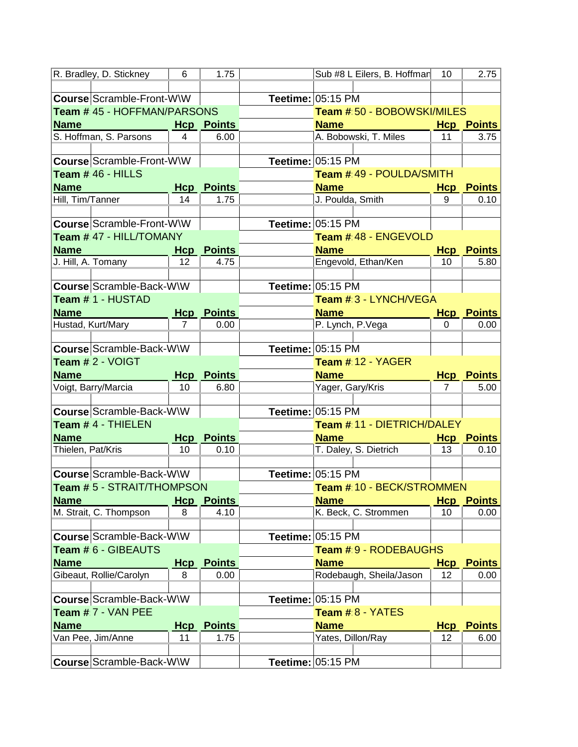|                   | R. Bradley, D. Stickney     | 6          | 1.75              | Sub #8 L Eilers, B. Hoffman  | 10         | 2.75                      |
|-------------------|-----------------------------|------------|-------------------|------------------------------|------------|---------------------------|
|                   |                             |            |                   |                              |            |                           |
|                   | Course Scramble-Front-W\W   |            |                   | Teetime: 05:15 PM            |            |                           |
|                   | Team # 45 - HOFFMAN/PARSONS |            |                   | Team # 50 - BOBOWSKI/MILES   |            |                           |
| <b>Name</b>       |                             | <b>Hcp</b> | <b>Points</b>     | <b>Name</b>                  |            | <b>Hcp Points</b>         |
|                   | S. Hoffman, S. Parsons      | 4          | 6.00              | A. Bobowski, T. Miles        | 11         | 3.75                      |
|                   |                             |            |                   |                              |            |                           |
|                   | Course Scramble-Front-W\W   |            |                   | Teetime: 05:15 PM            |            |                           |
|                   | Team # 46 - HILLS           |            |                   | Team # 49 - POULDA/SMITH     |            |                           |
| <b>Name</b>       |                             | Hcp        | Points            | <b>Name</b>                  | <u>Hcp</u> | <b>Points</b>             |
| Hill, Tim/Tanner  |                             | 14         | 1.75              | J. Poulda, Smith             | 9          | 0.10                      |
|                   |                             |            |                   |                              |            |                           |
|                   | Course Scramble-Front-W\W   |            |                   | Teetime: 05:15 PM            |            |                           |
|                   | Team # 47 - HILL/TOMANY     |            |                   | Team # 48 - ENGEVOLD         |            |                           |
| <b>Name</b>       |                             |            | <b>Hcp Points</b> | <b>Name</b>                  | <b>Hcp</b> | <b>Points</b>             |
|                   | J. Hill, A. Tomany          | 12         | 4.75              | Engevold, Ethan/Ken          | 10         | 5.80                      |
|                   |                             |            |                   |                              |            |                           |
|                   | Course Scramble-Back-W\W    |            |                   | Teetime: 05:15 PM            |            |                           |
|                   | Team # 1 - HUSTAD           |            |                   | Team # 3 - LYNCH/VEGA        |            |                           |
| <b>Name</b>       |                             |            | <b>Hcp</b> Points | <b>Name</b>                  |            |                           |
|                   | Hustad, Kurt/Mary           | 7          | 0.00              | P. Lynch, P. Vega            | 0          | <b>Hcp</b> Points<br>0.00 |
|                   |                             |            |                   |                              |            |                           |
|                   | Course Scramble-Back-W\W    |            |                   | Teetime: 05:15 PM            |            |                           |
|                   |                             |            |                   | Team #:12 - YAGER            |            |                           |
| Team # 2 - VOIGT  |                             |            |                   |                              |            |                           |
|                   |                             |            |                   |                              |            |                           |
| <b>Name</b>       |                             |            | <b>Hcp</b> Points | <b>Name</b>                  |            | <b>Hcp Points</b>         |
|                   | Voigt, Barry/Marcia         | 10         | 6.80              | Yager, Gary/Kris             | 7          | 5.00                      |
|                   |                             |            |                   |                              |            |                           |
|                   | Course Scramble-Back-W\W    |            |                   | Teetime: 05:15 PM            |            |                           |
|                   | Team # 4 - THIELEN          |            |                   | Team # 11 - DIETRICH/DALEY   |            |                           |
| <b>Name</b>       |                             |            | <b>Hcp</b> Points | <b>Name</b>                  |            | <b>Hcp Points</b>         |
| Thielen, Pat/Kris |                             | 10         | 0.10              | T. Daley, S. Dietrich        | 13         | 0.10                      |
|                   |                             |            |                   |                              |            |                           |
|                   | Course Scramble-Back-W\W    |            |                   | Teetime: 05:15 PM            |            |                           |
|                   | Team # 5 - STRAIT/THOMPSON  |            |                   | Team # 10 - BECK/STROMMEN    |            |                           |
| <b>Name</b>       |                             |            | <b>Hcp</b> Points | <b>Name</b>                  | <b>Hcp</b> | <b>Points</b>             |
|                   | M. Strait, C. Thompson      | 8          | 4.10              | K. Beck, C. Strommen         | 10         | 0.00                      |
|                   |                             |            |                   |                              |            |                           |
|                   | Course Scramble-Back-W\W    |            |                   | Teetime: 05:15 PM            |            |                           |
|                   | Team # 6 - GIBEAUTS         |            |                   | <b>Team # 9 - RODEBAUGHS</b> |            |                           |
| <b>Name</b>       |                             | <b>Hcp</b> | <b>Points</b>     | <b>Name</b>                  | <u>Hcp</u> | <b>Points</b>             |
|                   | Gibeaut, Rollie/Carolyn     | 8          | 0.00              | Rodebaugh, Sheila/Jason      | 12         | 0.00                      |
|                   |                             |            |                   |                              |            |                           |
|                   | Course Scramble-Back-W\W    |            |                   | Teetime: 05:15 PM            |            |                           |
|                   | Team $# 7 - VAN PEE$        |            |                   | Team #8 - YATES              |            |                           |
| <b>Name</b>       |                             | <u>Hcp</u> | <b>Points</b>     | <b>Name</b>                  | <u>Hcp</u> | <b>Points</b>             |
|                   | Van Pee, Jim/Anne           | 11         | 1.75              | Yates, Dillon/Ray            | 12         | 6.00                      |
|                   | Course Scramble-Back-W\W    |            |                   | Teetime: $05:15$ PM          |            |                           |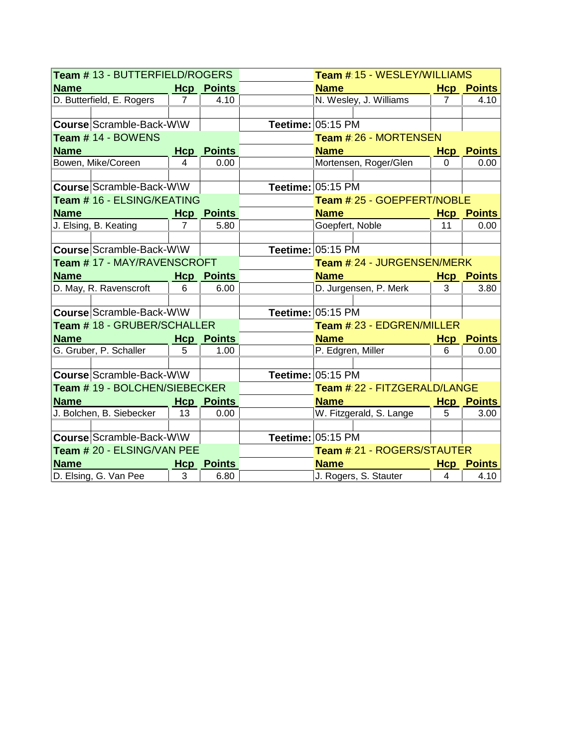| Team # 13 - BUTTERFIELD/ROGERS                |                 |                       | <b>Team # 15 - WESLEY/WILLIAMS</b> |                |                   |  |
|-----------------------------------------------|-----------------|-----------------------|------------------------------------|----------------|-------------------|--|
| <b>Name</b>                                   |                 | <b>Hcp</b> Points     | <b>Name</b>                        |                | <b>Hcp</b> Points |  |
| D. Butterfield, E. Rogers                     | $\overline{7}$  | 4.10                  | N. Wesley, J. Williams             | 7              | 4.10              |  |
|                                               |                 |                       |                                    |                |                   |  |
| Course Scramble-Back-W\W                      |                 |                       | Teetime: 05:15 PM                  |                |                   |  |
| Team # 14 - BOWENS                            |                 | Team # 26 - MORTENSEN |                                    |                |                   |  |
| <b>Name</b>                                   |                 | <b>Hcp</b> Points     | <b>Name</b>                        |                | <b>Hcp Points</b> |  |
| Bowen, Mike/Coreen                            | 4               | 0.00                  | Mortensen, Roger/Glen              | 0              | 0.00              |  |
|                                               |                 |                       |                                    |                |                   |  |
| Course Scramble-Back-W\W                      |                 |                       | Teetime: 05:15 PM                  |                |                   |  |
| Team # 16 - ELSING/KEATING                    |                 |                       | Team # 25 - GOEPFERT/NOBLE         |                |                   |  |
| <b>Name</b><br><b>Example 2016 Hcp</b> Points |                 |                       | <b>Name</b>                        |                | <b>Hcp Points</b> |  |
| J. Elsing, B. Keating                         | $\overline{7}$  | 5.80                  | Goepfert, Noble                    | 11             | 0.00              |  |
|                                               |                 |                       |                                    |                |                   |  |
| Course Scramble-Back-W\W                      |                 |                       | Teetime: 05:15 PM                  |                |                   |  |
| Team # 17 - MAY/RAVENSCROFT                   |                 |                       | Team # 24 - JURGENSEN/MERK         |                |                   |  |
| <b>Name</b>                                   |                 | <b>Hcp</b> Points     | <b>Name</b>                        |                | <b>Hcp Points</b> |  |
| D. May, R. Ravenscroft                        | 6               | 6.00                  | D. Jurgensen, P. Merk              | 3              | 3.80              |  |
|                                               |                 |                       |                                    |                |                   |  |
| Course Scramble-Back-W\W                      |                 |                       | Teetime: 05:15 PM                  |                |                   |  |
| Team # 18 - GRUBER/SCHALLER                   |                 |                       | Team # 23 - EDGREN/MILLER          |                |                   |  |
| <b>Name</b>                                   |                 | <b>Hcp</b> Points     | <b>Name</b>                        |                | <b>Hcp Points</b> |  |
| G. Gruber, P. Schaller                        | 5               | 1.00                  | P. Edgren, Miller                  | 6              | 0.00              |  |
|                                               |                 |                       |                                    |                |                   |  |
| Course Scramble-Back-WW                       |                 |                       | Teetime: 05:15 PM                  |                |                   |  |
| Team # 19 - BOLCHEN/SIEBECKER                 |                 |                       | Team # 22 - FITZGERALD/LANGE       |                |                   |  |
| <b>Name</b><br><b>Example 2016 Hcp Points</b> |                 |                       | <b>Name</b>                        |                | <b>Hcp</b> Points |  |
| J. Bolchen, B. Siebecker                      | $\overline{13}$ | 0.00                  | W. Fitzgerald, S. Lange            | 5              | 3.00              |  |
|                                               |                 |                       |                                    |                |                   |  |
| Course Scramble-Back-W\W                      |                 |                       | Teetime: 05:15 PM                  |                |                   |  |
| Team # 20 - ELSING/VAN PEE                    |                 |                       | Team # 21 - ROGERS/STAUTER         |                |                   |  |
| <b>Name</b>                                   |                 | <b>Hcp</b> Points     | <b>Name</b>                        |                | <b>Hcp</b> Points |  |
| D. Elsing, G. Van Pee                         | 3               | 6.80                  | J. Rogers, S. Stauter              | $\overline{4}$ | 4.10              |  |